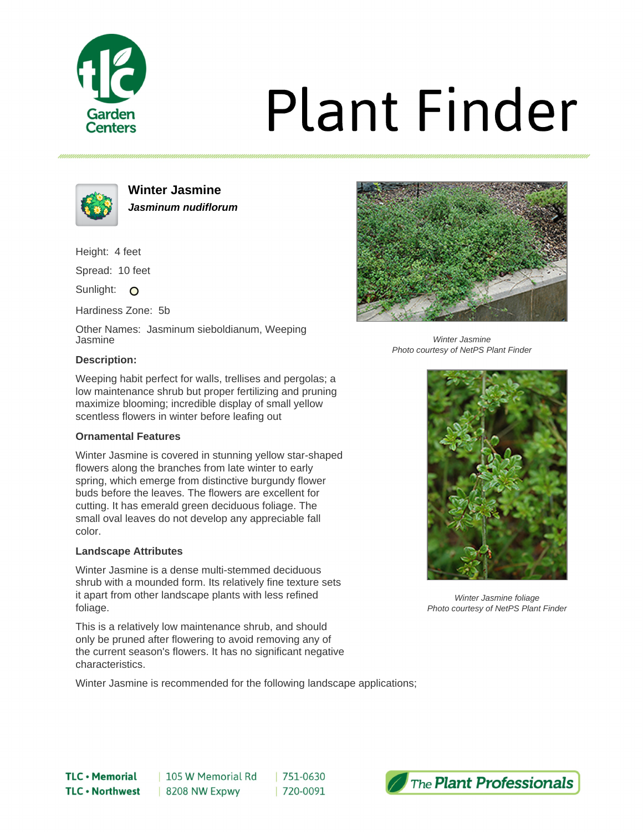

# **Plant Finder**



**Winter Jasmine Jasminum nudiflorum**

Height: 4 feet

Spread: 10 feet

Sunlight: O

Hardiness Zone: 5b

Other Names: Jasminum sieboldianum, Weeping Jasmine

### **Description:**



Winter Jasmine Photo courtesy of NetPS Plant Finder

Weeping habit perfect for walls, trellises and pergolas; a low maintenance shrub but proper fertilizing and pruning maximize blooming; incredible display of small yellow scentless flowers in winter before leafing out

### **Ornamental Features**

Winter Jasmine is covered in stunning yellow star-shaped flowers along the branches from late winter to early spring, which emerge from distinctive burgundy flower buds before the leaves. The flowers are excellent for cutting. It has emerald green deciduous foliage. The small oval leaves do not develop any appreciable fall color.

### **Landscape Attributes**

Winter Jasmine is a dense multi-stemmed deciduous shrub with a mounded form. Its relatively fine texture sets it apart from other landscape plants with less refined foliage.

This is a relatively low maintenance shrub, and should only be pruned after flowering to avoid removing any of the current season's flowers. It has no significant negative characteristics.

Winter Jasmine is recommended for the following landscape applications;

 $|751-0630$ 

| 720-0091



Winter Jasmine foliage Photo courtesy of NetPS Plant Finder